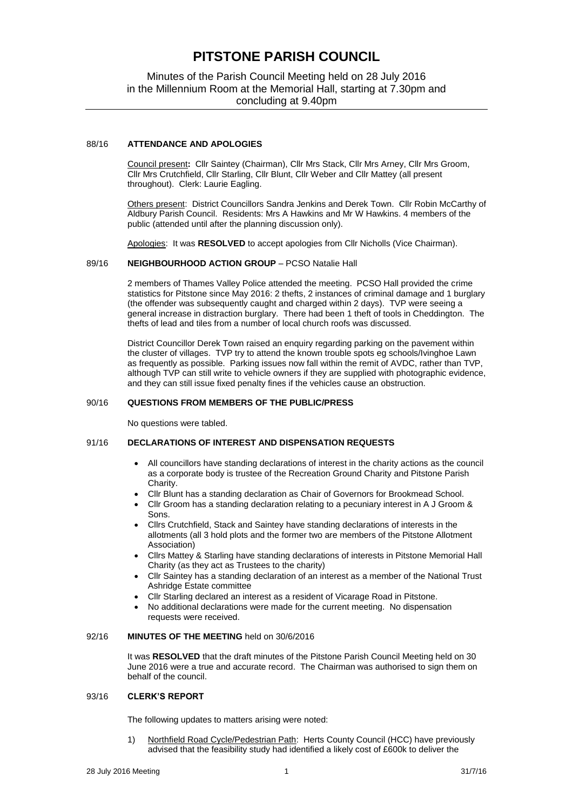# **PITSTONE PARISH COUNCIL**

# Minutes of the Parish Council Meeting held on 28 July 2016 in the Millennium Room at the Memorial Hall, starting at 7.30pm and concluding at 9.40pm

## 88/16 **ATTENDANCE AND APOLOGIES**

Council present**:** Cllr Saintey (Chairman), Cllr Mrs Stack, Cllr Mrs Arney, Cllr Mrs Groom, Cllr Mrs Crutchfield, Cllr Starling, Cllr Blunt, Cllr Weber and Cllr Mattey (all present throughout). Clerk: Laurie Eagling.

Others present: District Councillors Sandra Jenkins and Derek Town. Cllr Robin McCarthy of Aldbury Parish Council. Residents: Mrs A Hawkins and Mr W Hawkins. 4 members of the public (attended until after the planning discussion only).

Apologies: It was **RESOLVED** to accept apologies from Cllr Nicholls (Vice Chairman).

#### 89/16 **NEIGHBOURHOOD ACTION GROUP** – PCSO Natalie Hall

2 members of Thames Valley Police attended the meeting. PCSO Hall provided the crime statistics for Pitstone since May 2016: 2 thefts, 2 instances of criminal damage and 1 burglary (the offender was subsequently caught and charged within 2 days). TVP were seeing a general increase in distraction burglary. There had been 1 theft of tools in Cheddington. The thefts of lead and tiles from a number of local church roofs was discussed.

District Councillor Derek Town raised an enquiry regarding parking on the pavement within the cluster of villages. TVP try to attend the known trouble spots eg schools/Ivinghoe Lawn as frequently as possible. Parking issues now fall within the remit of AVDC, rather than TVP, although TVP can still write to vehicle owners if they are supplied with photographic evidence, and they can still issue fixed penalty fines if the vehicles cause an obstruction.

#### 90/16 **QUESTIONS FROM MEMBERS OF THE PUBLIC/PRESS**

No questions were tabled.

#### 91/16 **DECLARATIONS OF INTEREST AND DISPENSATION REQUESTS**

- All councillors have standing declarations of interest in the charity actions as the council as a corporate body is trustee of the Recreation Ground Charity and Pitstone Parish Charity.
- Cllr Blunt has a standing declaration as Chair of Governors for Brookmead School.
- Cllr Groom has a standing declaration relating to a pecuniary interest in A J Groom & Sons.
- Cllrs Crutchfield, Stack and Saintey have standing declarations of interests in the allotments (all 3 hold plots and the former two are members of the Pitstone Allotment Association)
- Cllrs Mattey & Starling have standing declarations of interests in Pitstone Memorial Hall Charity (as they act as Trustees to the charity)
- Cllr Saintey has a standing declaration of an interest as a member of the National Trust Ashridge Estate committee
- Cllr Starling declared an interest as a resident of Vicarage Road in Pitstone.
- No additional declarations were made for the current meeting. No dispensation requests were received.

## 92/16 **MINUTES OF THE MEETING** held on 30/6/2016

It was **RESOLVED** that the draft minutes of the Pitstone Parish Council Meeting held on 30 June 2016 were a true and accurate record. The Chairman was authorised to sign them on behalf of the council.

#### 93/16 **CLERK'S REPORT**

The following updates to matters arising were noted:

1) Northfield Road Cycle/Pedestrian Path: Herts County Council (HCC) have previously advised that the feasibility study had identified a likely cost of £600k to deliver the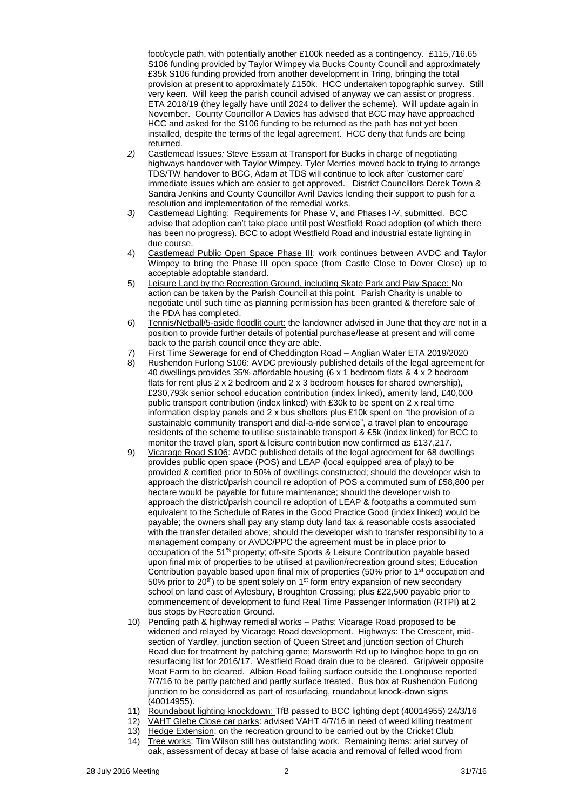foot/cycle path, with potentially another £100k needed as a contingency. £115,716.65 S106 funding provided by Taylor Wimpey via Bucks County Council and approximately £35k S106 funding provided from another development in Tring, bringing the total provision at present to approximately £150k. HCC undertaken topographic survey. Still very keen. Will keep the parish council advised of anyway we can assist or progress. ETA 2018/19 (they legally have until 2024 to deliver the scheme). Will update again in November. County Councillor A Davies has advised that BCC may have approached HCC and asked for the S106 funding to be returned as the path has not yet been installed, despite the terms of the legal agreement. HCC deny that funds are being returned.

- *2)* Castlemead Issues*:* Steve Essam at Transport for Bucks in charge of negotiating highways handover with Taylor Wimpey. Tyler Merries moved back to trying to arrange TDS/TW handover to BCC, Adam at TDS will continue to look after 'customer care' immediate issues which are easier to get approved. District Councillors Derek Town & Sandra Jenkins and County Councillor Avril Davies lending their support to push for a resolution and implementation of the remedial works.
- *3)* Castlemead Lighting: Requirements for Phase V, and Phases I-V, submitted. BCC advise that adoption can't take place until post Westfield Road adoption (of which there has been no progress). BCC to adopt Westfield Road and industrial estate lighting in due course.
- 4) Castlemead Public Open Space Phase III: work continues between AVDC and Taylor Wimpey to bring the Phase III open space (from Castle Close to Dover Close) up to acceptable adoptable standard.
- 5) Leisure Land by the Recreation Ground, including Skate Park and Play Space: No action can be taken by the Parish Council at this point. Parish Charity is unable to negotiate until such time as planning permission has been granted & therefore sale of the PDA has completed.
- 6) Tennis/Netball/5-aside floodlit court: the landowner advised in June that they are not in a position to provide further details of potential purchase/lease at present and will come back to the parish council once they are able.
- 7) First Time Sewerage for end of Cheddington Road Anglian Water ETA 2019/2020
- 8) Rushendon Furlong S106: AVDC previously published details of the legal agreement for 40 dwellings provides 35% affordable housing (6 x 1 bedroom flats & 4 x 2 bedroom flats for rent plus 2 x 2 bedroom and 2 x 3 bedroom houses for shared ownership), £230,793k senior school education contribution (index linked), amenity land, £40,000 public transport contribution (index linked) with £30k to be spent on 2 x real time information display panels and 2 x bus shelters plus £10k spent on "the provision of a sustainable community transport and dial-a-ride service", a travel plan to encourage residents of the scheme to utilise sustainable transport & £5k (index linked) for BCC to monitor the travel plan, sport & leisure contribution now confirmed as £137,217.
- 9) Vicarage Road S106: AVDC published details of the legal agreement for 68 dwellings provides public open space (POS) and LEAP (local equipped area of play) to be provided & certified prior to 50% of dwellings constructed; should the developer wish to approach the district/parish council re adoption of POS a commuted sum of £58,800 per hectare would be payable for future maintenance; should the developer wish to approach the district/parish council re adoption of LEAP & footpaths a commuted sum equivalent to the Schedule of Rates in the Good Practice Good (index linked) would be payable; the owners shall pay any stamp duty land tax & reasonable costs associated with the transfer detailed above; should the developer wish to transfer responsibility to a management company or AVDC/PPC the agreement must be in place prior to occupation of the 51% property; off-site Sports & Leisure Contribution payable based upon final mix of properties to be utilised at pavilion/recreation ground sites; Education Contribution payable based upon final mix of properties (50% prior to 1st occupation and 50% prior to 20<sup>th</sup>) to be spent solely on 1<sup>st</sup> form entry expansion of new secondary school on land east of Aylesbury, Broughton Crossing; plus £22,500 payable prior to commencement of development to fund Real Time Passenger Information (RTPI) at 2 bus stops by Recreation Ground.
- 10) Pending path & highway remedial works Paths: Vicarage Road proposed to be widened and relayed by Vicarage Road development. Highways: The Crescent, midsection of Yardley, junction section of Queen Street and junction section of Church Road due for treatment by patching game; Marsworth Rd up to Ivinghoe hope to go on resurfacing list for 2016/17. Westfield Road drain due to be cleared. Grip/weir opposite Moat Farm to be cleared. Albion Road failing surface outside the Longhouse reported 7/7/16 to be partly patched and partly surface treated. Bus box at Rushendon Furlong junction to be considered as part of resurfacing, roundabout knock-down signs (40014955).
- 11) Roundabout lighting knockdown: TfB passed to BCC lighting dept (40014955) 24/3/16
- 12) VAHT Glebe Close car parks: advised VAHT 4/7/16 in need of weed killing treatment
- 13) Hedge Extension: on the recreation ground to be carried out by the Cricket Club
- 14) Tree works: Tim Wilson still has outstanding work. Remaining items: arial survey of oak, assessment of decay at base of false acacia and removal of felled wood from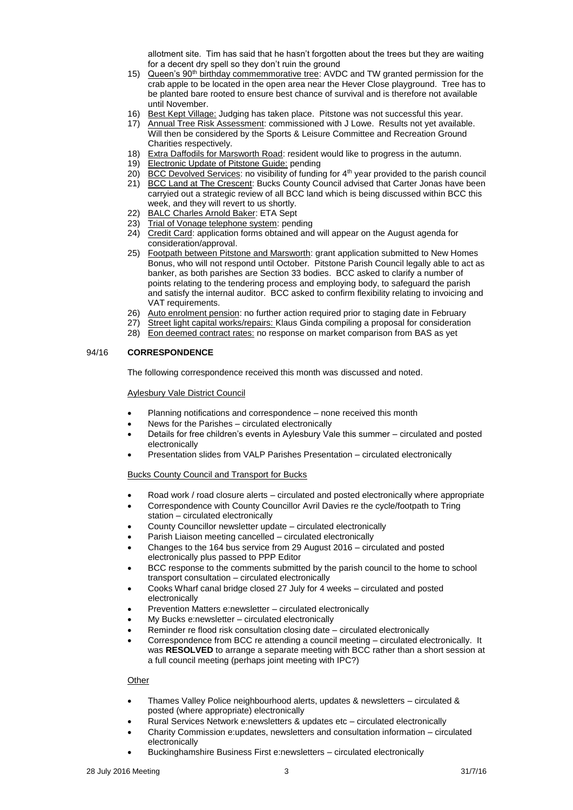allotment site. Tim has said that he hasn't forgotten about the trees but they are waiting for a decent dry spell so they don't ruin the ground

- 15) Queen's 90<sup>th</sup> birthday commemmorative tree: AVDC and TW granted permission for the crab apple to be located in the open area near the Hever Close playground. Tree has to be planted bare rooted to ensure best chance of survival and is therefore not available until November.
- 16) Best Kept Village: Judging has taken place. Pitstone was not successful this year.
- 17) Annual Tree Risk Assessment: commissioned with J Lowe. Results not yet available. Will then be considered by the Sports & Leisure Committee and Recreation Ground Charities respectively.
- 18) Extra Daffodils for Marsworth Road: resident would like to progress in the autumn.
- 19) Electronic Update of Pitstone Guide: pending
- 20) BCC Devolved Services: no visibility of funding for 4<sup>th</sup> year provided to the parish council 21) BCC Land at The Crescent: Bucks County Council advised that Carter Jonas have been
- carryied out a strategic review of all BCC land which is being discussed within BCC this week, and they will revert to us shortly.
- 22) BALC Charles Arnold Baker: ETA Sept
- 23) Trial of Vonage telephone system: pending
- 24) Credit Card: application forms obtained and will appear on the August agenda for consideration/approval.
- 25) Footpath between Pitstone and Marsworth: grant application submitted to New Homes Bonus, who will not respond until October. Pitstone Parish Council legally able to act as banker, as both parishes are Section 33 bodies. BCC asked to clarify a number of points relating to the tendering process and employing body, to safeguard the parish and satisfy the internal auditor. BCC asked to confirm flexibility relating to invoicing and VAT requirements.
- 26) Auto enrolment pension: no further action required prior to staging date in February
- 27) Street light capital works/repairs: Klaus Ginda compiling a proposal for consideration
- 28) Eon deemed contract rates: no response on market comparison from BAS as yet

## 94/16 **CORRESPONDENCE**

The following correspondence received this month was discussed and noted.

#### **Aylesbury Vale District Council**

- Planning notifications and correspondence none received this month
- News for the Parishes circulated electronically
- Details for free children's events in Aylesbury Vale this summer circulated and posted electronically
- Presentation slides from VALP Parishes Presentation circulated electronically

#### Bucks County Council and Transport for Bucks

- Road work / road closure alerts circulated and posted electronically where appropriate
- Correspondence with County Councillor Avril Davies re the cycle/footpath to Tring station – circulated electronically
- County Councillor newsletter update circulated electronically
- Parish Liaison meeting cancelled circulated electronically
- Changes to the 164 bus service from 29 August 2016 circulated and posted electronically plus passed to PPP Editor
- BCC response to the comments submitted by the parish council to the home to school transport consultation – circulated electronically
- Cooks Wharf canal bridge closed 27 July for 4 weeks circulated and posted electronically
- Prevention Matters e:newsletter circulated electronically
- My Bucks e:newsletter circulated electronically
- Reminder re flood risk consultation closing date circulated electronically
- Correspondence from BCC re attending a council meeting circulated electronically. It was **RESOLVED** to arrange a separate meeting with BCC rather than a short session at a full council meeting (perhaps joint meeting with IPC?)

## **Other**

- Thames Valley Police neighbourhood alerts, updates & newsletters circulated & posted (where appropriate) electronically
- Rural Services Network e:newsletters & updates etc circulated electronically
- Charity Commission e:updates, newsletters and consultation information circulated electronically
- Buckinghamshire Business First e:newsletters circulated electronically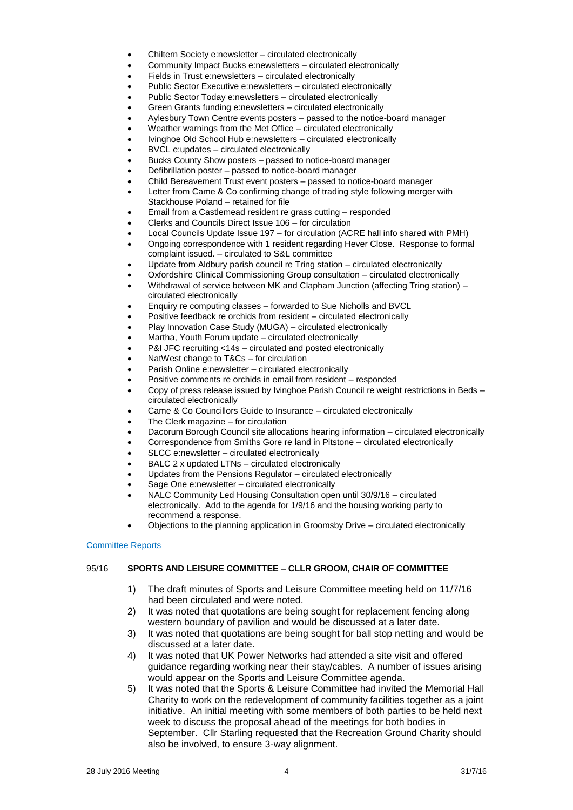- Chiltern Society e:newsletter circulated electronically
- Community Impact Bucks e:newsletters circulated electronically
- Fields in Trust e:newsletters circulated electronically
- Public Sector Executive e:newsletters circulated electronically
- Public Sector Today e:newsletters circulated electronically
- Green Grants funding e:newsletters circulated electronically
- Aylesbury Town Centre events posters passed to the notice-board manager
- Weather warnings from the Met Office circulated electronically
- Ivinghoe Old School Hub e:newsletters circulated electronically
- BVCL e:updates circulated electronically
- Bucks County Show posters passed to notice-board manager
- Defibrillation poster passed to notice-board manager
- Child Bereavement Trust event posters passed to notice-board manager
- Letter from Came & Co confirming change of trading style following merger with Stackhouse Poland – retained for file
- Email from a Castlemead resident re grass cutting responded
- Clerks and Councils Direct Issue 106 for circulation
- Local Councils Update Issue 197 for circulation (ACRE hall info shared with PMH)
- Ongoing correspondence with 1 resident regarding Hever Close. Response to formal complaint issued. – circulated to S&L committee
- Update from Aldbury parish council re Tring station circulated electronically
- Oxfordshire Clinical Commissioning Group consultation circulated electronically
- Withdrawal of service between MK and Clapham Junction (affecting Tring station) circulated electronically
- Enquiry re computing classes forwarded to Sue Nicholls and BVCL
- Positive feedback re orchids from resident circulated electronically
- Play Innovation Case Study (MUGA) circulated electronically
- Martha, Youth Forum update circulated electronically
- P&I JFC recruiting <14s circulated and posted electronically
- NatWest change to T&Cs for circulation
- Parish Online e:newsletter circulated electronically
- Positive comments re orchids in email from resident responded
- Copy of press release issued by Ivinghoe Parish Council re weight restrictions in Beds circulated electronically
- Came & Co Councillors Guide to Insurance circulated electronically
- The Clerk magazine for circulation
- Dacorum Borough Council site allocations hearing information circulated electronically
- Correspondence from Smiths Gore re land in Pitstone circulated electronically
- SLCC e:newsletter circulated electronically
- BALC 2 x updated LTNs circulated electronically
- Updates from the Pensions Regulator circulated electronically
- Sage One e:newsletter circulated electronically
- NALC Community Led Housing Consultation open until 30/9/16 circulated electronically. Add to the agenda for 1/9/16 and the housing working party to recommend a response.
- Objections to the planning application in Groomsby Drive circulated electronically

## Committee Reports

# 95/16 **SPORTS AND LEISURE COMMITTEE – CLLR GROOM, CHAIR OF COMMITTEE**

- 1) The draft minutes of Sports and Leisure Committee meeting held on 11/7/16 had been circulated and were noted.
- 2) It was noted that quotations are being sought for replacement fencing along western boundary of pavilion and would be discussed at a later date.
- 3) It was noted that quotations are being sought for ball stop netting and would be discussed at a later date.
- 4) It was noted that UK Power Networks had attended a site visit and offered guidance regarding working near their stay/cables. A number of issues arising would appear on the Sports and Leisure Committee agenda.
- 5) It was noted that the Sports & Leisure Committee had invited the Memorial Hall Charity to work on the redevelopment of community facilities together as a joint initiative. An initial meeting with some members of both parties to be held next week to discuss the proposal ahead of the meetings for both bodies in September. Cllr Starling requested that the Recreation Ground Charity should also be involved, to ensure 3-way alignment.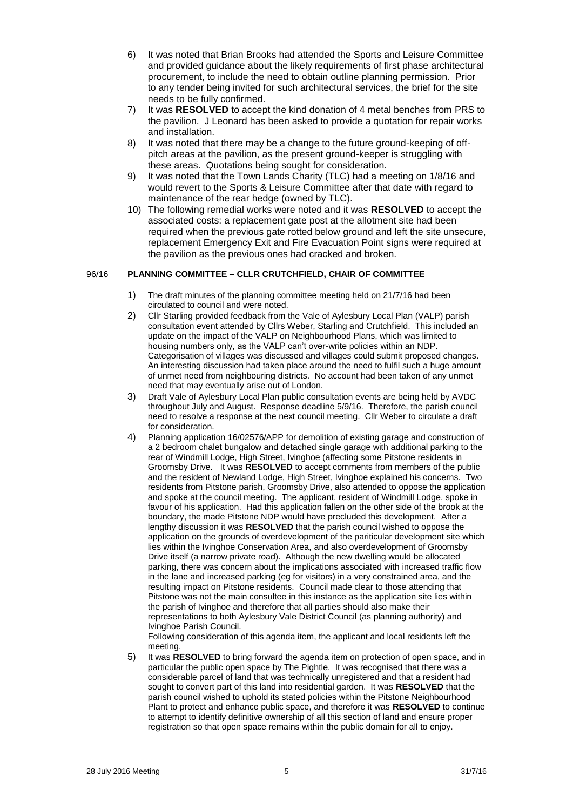- 6) It was noted that Brian Brooks had attended the Sports and Leisure Committee and provided guidance about the likely requirements of first phase architectural procurement, to include the need to obtain outline planning permission. Prior to any tender being invited for such architectural services, the brief for the site needs to be fully confirmed.
- 7) It was **RESOLVED** to accept the kind donation of 4 metal benches from PRS to the pavilion. J Leonard has been asked to provide a quotation for repair works and installation.
- 8) It was noted that there may be a change to the future ground-keeping of offpitch areas at the pavilion, as the present ground-keeper is struggling with these areas. Quotations being sought for consideration.
- 9) It was noted that the Town Lands Charity (TLC) had a meeting on 1/8/16 and would revert to the Sports & Leisure Committee after that date with regard to maintenance of the rear hedge (owned by TLC).
- 10) The following remedial works were noted and it was **RESOLVED** to accept the associated costs: a replacement gate post at the allotment site had been required when the previous gate rotted below ground and left the site unsecure, replacement Emergency Exit and Fire Evacuation Point signs were required at the pavilion as the previous ones had cracked and broken.

# 96/16 **PLANNING COMMITTEE – CLLR CRUTCHFIELD, CHAIR OF COMMITTEE**

- 1) The draft minutes of the planning committee meeting held on 21/7/16 had been circulated to council and were noted.
- 2) Cllr Starling provided feedback from the Vale of Aylesbury Local Plan (VALP) parish consultation event attended by Cllrs Weber, Starling and Crutchfield. This included an update on the impact of the VALP on Neighbourhood Plans, which was limited to housing numbers only, as the VALP can't over-write policies within an NDP. Categorisation of villages was discussed and villages could submit proposed changes. An interesting discussion had taken place around the need to fulfil such a huge amount of unmet need from neighbouring districts. No account had been taken of any unmet need that may eventually arise out of London.
- 3) Draft Vale of Aylesbury Local Plan public consultation events are being held by AVDC throughout July and August. Response deadline 5/9/16. Therefore, the parish council need to resolve a response at the next council meeting. Cllr Weber to circulate a draft for consideration.
- 4) Planning application 16/02576/APP for demolition of existing garage and construction of a 2 bedroom chalet bungalow and detached single garage with additional parking to the rear of Windmill Lodge, High Street, Ivinghoe (affecting some Pitstone residents in Groomsby Drive. It was **RESOLVED** to accept comments from members of the public and the resident of Newland Lodge, High Street, Ivinghoe explained his concerns. Two residents from Pitstone parish, Groomsby Drive, also attended to oppose the application and spoke at the council meeting. The applicant, resident of Windmill Lodge, spoke in favour of his application. Had this application fallen on the other side of the brook at the boundary, the made Pitstone NDP would have precluded this development. After a lengthy discussion it was **RESOLVED** that the parish council wished to oppose the application on the grounds of overdevelopment of the pariticular development site which lies within the Ivinghoe Conservation Area, and also overdevelopment of Groomsby Drive itself (a narrow private road). Although the new dwelling would be allocated parking, there was concern about the implications associated with increased traffic flow in the lane and increased parking (eg for visitors) in a very constrained area, and the resulting impact on Pitstone residents. Council made clear to those attending that Pitstone was not the main consultee in this instance as the application site lies within the parish of Ivinghoe and therefore that all parties should also make their representations to both Aylesbury Vale District Council (as planning authority) and Ivinghoe Parish Council.

Following consideration of this agenda item, the applicant and local residents left the meeting.

5) It was **RESOLVED** to bring forward the agenda item on protection of open space, and in particular the public open space by The Pightle. It was recognised that there was a considerable parcel of land that was technically unregistered and that a resident had sought to convert part of this land into residential garden. It was **RESOLVED** that the parish council wished to uphold its stated policies within the Pitstone Neighbourhood Plant to protect and enhance public space, and therefore it was **RESOLVED** to continue to attempt to identify definitive ownership of all this section of land and ensure proper registration so that open space remains within the public domain for all to enjoy.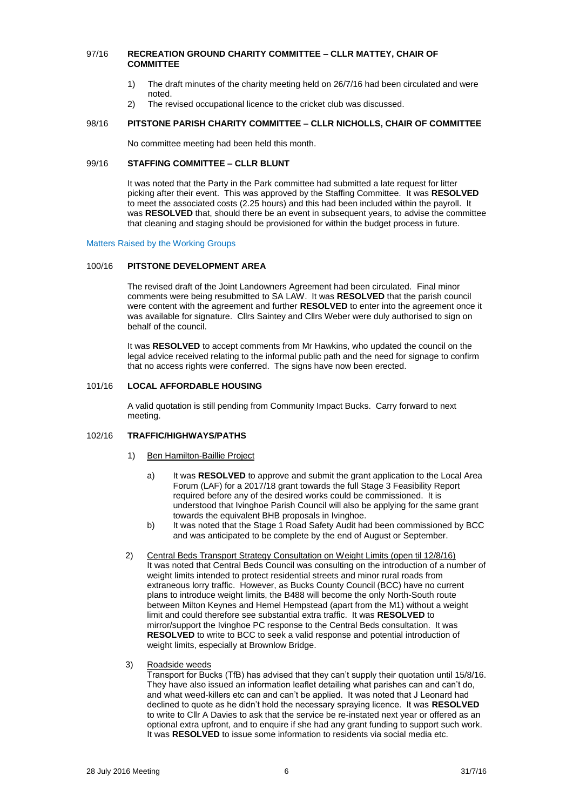#### 97/16 **RECREATION GROUND CHARITY COMMITTEE – CLLR MATTEY, CHAIR OF COMMITTEE**

- 1) The draft minutes of the charity meeting held on 26/7/16 had been circulated and were noted.
- 2) The revised occupational licence to the cricket club was discussed.

#### 98/16 **PITSTONE PARISH CHARITY COMMITTEE – CLLR NICHOLLS, CHAIR OF COMMITTEE**

No committee meeting had been held this month.

## 99/16 **STAFFING COMMITTEE – CLLR BLUNT**

It was noted that the Party in the Park committee had submitted a late request for litter picking after their event. This was approved by the Staffing Committee. It was **RESOLVED** to meet the associated costs (2.25 hours) and this had been included within the payroll. It was **RESOLVED** that, should there be an event in subsequent years, to advise the committee that cleaning and staging should be provisioned for within the budget process in future.

#### Matters Raised by the Working Groups

#### 100/16 **PITSTONE DEVELOPMENT AREA**

The revised draft of the Joint Landowners Agreement had been circulated. Final minor comments were being resubmitted to SA LAW. It was **RESOLVED** that the parish council were content with the agreement and further **RESOLVED** to enter into the agreement once it was available for signature. Cllrs Saintey and Cllrs Weber were duly authorised to sign on behalf of the council.

It was **RESOLVED** to accept comments from Mr Hawkins, who updated the council on the legal advice received relating to the informal public path and the need for signage to confirm that no access rights were conferred. The signs have now been erected.

## 101/16 **LOCAL AFFORDABLE HOUSING**

A valid quotation is still pending from Community Impact Bucks. Carry forward to next meeting.

## 102/16 **TRAFFIC/HIGHWAYS/PATHS**

- 1) Ben Hamilton-Baillie Project
	- a) It was **RESOLVED** to approve and submit the grant application to the Local Area Forum (LAF) for a 2017/18 grant towards the full Stage 3 Feasibility Report required before any of the desired works could be commissioned. It is understood that Ivinghoe Parish Council will also be applying for the same grant towards the equivalent BHB proposals in Ivinghoe.
	- b) It was noted that the Stage 1 Road Safety Audit had been commissioned by BCC and was anticipated to be complete by the end of August or September.
- 2) Central Beds Transport Strategy Consultation on Weight Limits (open til 12/8/16) It was noted that Central Beds Council was consulting on the introduction of a number of weight limits intended to protect residential streets and minor rural roads from extraneous lorry traffic. However, as Bucks County Council (BCC) have no current plans to introduce weight limits, the B488 will become the only North-South route between Milton Keynes and Hemel Hempstead (apart from the M1) without a weight limit and could therefore see substantial extra traffic. It was **RESOLVED** to mirror/support the Ivinghoe PC response to the Central Beds consultation. It was **RESOLVED** to write to BCC to seek a valid response and potential introduction of weight limits, especially at Brownlow Bridge.
- 3) Roadside weeds

Transport for Bucks (TfB) has advised that they can't supply their quotation until 15/8/16. They have also issued an information leaflet detailing what parishes can and can't do, and what weed-killers etc can and can't be applied. It was noted that J Leonard had declined to quote as he didn't hold the necessary spraying licence. It was **RESOLVED** to write to Cllr A Davies to ask that the service be re-instated next year or offered as an optional extra upfront, and to enquire if she had any grant funding to support such work. It was **RESOLVED** to issue some information to residents via social media etc.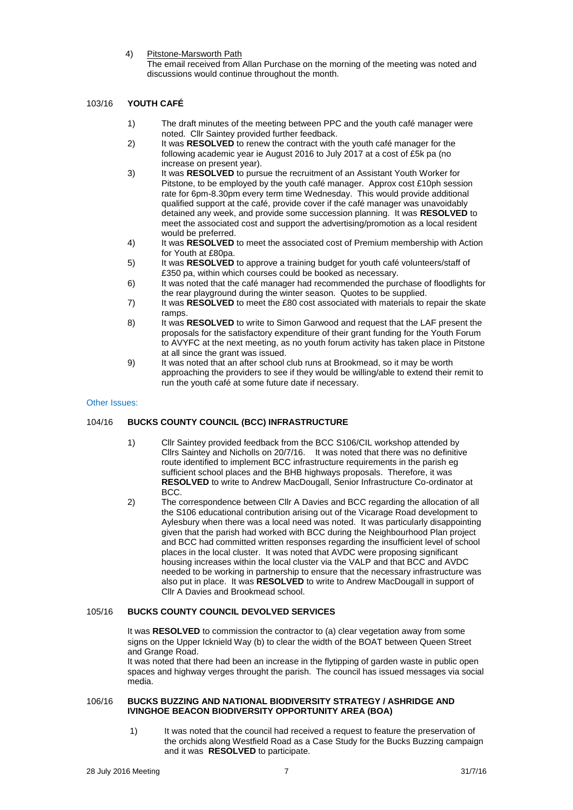4) Pitstone-Marsworth Path

The email received from Allan Purchase on the morning of the meeting was noted and discussions would continue throughout the month.

# 103/16 **YOUTH CAFÉ**

- 1) The draft minutes of the meeting between PPC and the youth café manager were noted. Cllr Saintey provided further feedback.
- 2) It was **RESOLVED** to renew the contract with the youth café manager for the following academic year ie August 2016 to July 2017 at a cost of £5k pa (no increase on present year).
- 3) It was **RESOLVED** to pursue the recruitment of an Assistant Youth Worker for Pitstone, to be employed by the youth café manager. Approx cost £10ph session rate for 6pm-8.30pm every term time Wednesday. This would provide additional qualified support at the café, provide cover if the café manager was unavoidably detained any week, and provide some succession planning. It was **RESOLVED** to meet the associated cost and support the advertising/promotion as a local resident would be preferred.
- 4) It was **RESOLVED** to meet the associated cost of Premium membership with Action for Youth at £80pa.
- 5) It was **RESOLVED** to approve a training budget for youth café volunteers/staff of £350 pa, within which courses could be booked as necessary.
- 6) It was noted that the café manager had recommended the purchase of floodlights for the rear playground during the winter season. Quotes to be supplied.
- 7) It was **RESOLVED** to meet the £80 cost associated with materials to repair the skate ramps.
- 8) It was **RESOLVED** to write to Simon Garwood and request that the LAF present the proposals for the satisfactory expenditure of their grant funding for the Youth Forum to AVYFC at the next meeting, as no youth forum activity has taken place in Pitstone at all since the grant was issued.
- 9) It was noted that an after school club runs at Brookmead, so it may be worth approaching the providers to see if they would be willing/able to extend their remit to run the youth café at some future date if necessary.

#### Other Issues:

# 104/16 **BUCKS COUNTY COUNCIL (BCC) INFRASTRUCTURE**

- 1) Cllr Saintey provided feedback from the BCC S106/CIL workshop attended by Cllrs Saintey and Nicholls on 20/7/16. It was noted that there was no definitive route identified to implement BCC infrastructure requirements in the parish eg sufficient school places and the BHB highways proposals. Therefore, it was **RESOLVED** to write to Andrew MacDougall, Senior Infrastructure Co-ordinator at BCC.
- 2) The correspondence between Cllr A Davies and BCC regarding the allocation of all the S106 educational contribution arising out of the Vicarage Road development to Aylesbury when there was a local need was noted. It was particularly disappointing given that the parish had worked with BCC during the Neighbourhood Plan project and BCC had committed written responses regarding the insufficient level of school places in the local cluster. It was noted that AVDC were proposing significant housing increases within the local cluster via the VALP and that BCC and AVDC needed to be working in partnership to ensure that the necessary infrastructure was also put in place. It was **RESOLVED** to write to Andrew MacDougall in support of Cllr A Davies and Brookmead school.

## 105/16 **BUCKS COUNTY COUNCIL DEVOLVED SERVICES**

It was **RESOLVED** to commission the contractor to (a) clear vegetation away from some signs on the Upper Icknield Way (b) to clear the width of the BOAT between Queen Street and Grange Road.

It was noted that there had been an increase in the flytipping of garden waste in public open spaces and highway verges throught the parish. The council has issued messages via social media.

#### 106/16 **BUCKS BUZZING AND NATIONAL BIODIVERSITY STRATEGY / ASHRIDGE AND IVINGHOE BEACON BIODIVERSITY OPPORTUNITY AREA (BOA)**

1) It was noted that the council had received a request to feature the preservation of the orchids along Westfield Road as a Case Study for the Bucks Buzzing campaign and it was **RESOLVED** to participate.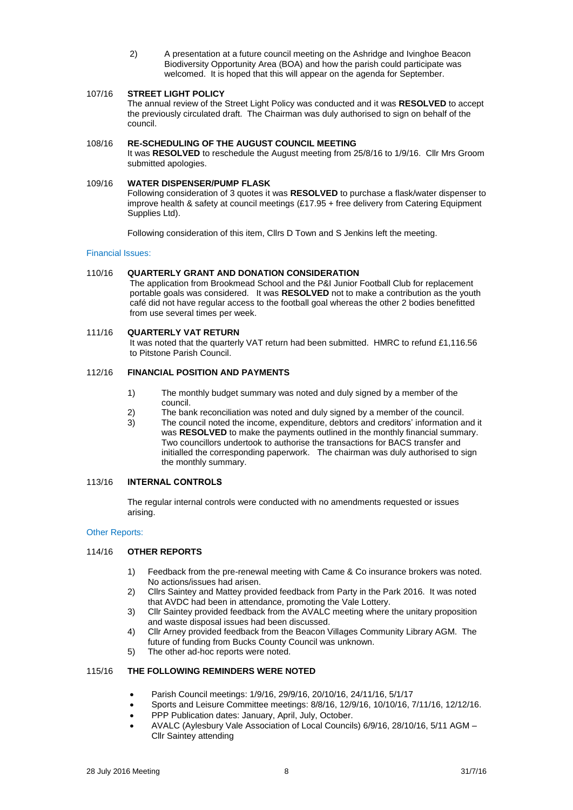2) A presentation at a future council meeting on the Ashridge and Ivinghoe Beacon Biodiversity Opportunity Area (BOA) and how the parish could participate was welcomed. It is hoped that this will appear on the agenda for September.

## 107/16 **STREET LIGHT POLICY**

The annual review of the Street Light Policy was conducted and it was **RESOLVED** to accept the previously circulated draft. The Chairman was duly authorised to sign on behalf of the council.

## 108/16 **RE-SCHEDULING OF THE AUGUST COUNCIL MEETING**

It was **RESOLVED** to reschedule the August meeting from 25/8/16 to 1/9/16. Cllr Mrs Groom submitted apologies.

#### 109/16 **WATER DISPENSER/PUMP FLASK**

Following consideration of 3 quotes it was **RESOLVED** to purchase a flask/water dispenser to improve health & safety at council meetings (£17.95 + free delivery from Catering Equipment Supplies Ltd).

Following consideration of this item, Cllrs D Town and S Jenkins left the meeting.

#### Financial Issues:

## 110/16 **QUARTERLY GRANT AND DONATION CONSIDERATION**

The application from Brookmead School and the P&I Junior Football Club for replacement portable goals was considered. It was **RESOLVED** not to make a contribution as the youth café did not have regular access to the football goal whereas the other 2 bodies benefitted from use several times per week.

## 111/16 **QUARTERLY VAT RETURN**

It was noted that the quarterly VAT return had been submitted. HMRC to refund £1,116.56 to Pitstone Parish Council.

# 112/16 **FINANCIAL POSITION AND PAYMENTS**

- 1) The monthly budget summary was noted and duly signed by a member of the council.
- 2) The bank reconciliation was noted and duly signed by a member of the council.
- 3) The council noted the income, expenditure, debtors and creditors' information and it was **RESOLVED** to make the payments outlined in the monthly financial summary. Two councillors undertook to authorise the transactions for BACS transfer and initialled the corresponding paperwork. The chairman was duly authorised to sign the monthly summary.

## 113/16 **INTERNAL CONTROLS**

The regular internal controls were conducted with no amendments requested or issues arising.

#### Other Reports:

## 114/16 **OTHER REPORTS**

- 1) Feedback from the pre-renewal meeting with Came & Co insurance brokers was noted. No actions/issues had arisen.
- 2) Cllrs Saintey and Mattey provided feedback from Party in the Park 2016. It was noted that AVDC had been in attendance, promoting the Vale Lottery.
- 3) Cllr Saintey provided feedback from the AVALC meeting where the unitary proposition and waste disposal issues had been discussed.
- 4) Cllr Arney provided feedback from the Beacon Villages Community Library AGM. The future of funding from Bucks County Council was unknown.
- 5) The other ad-hoc reports were noted.

## 115/16 **THE FOLLOWING REMINDERS WERE NOTED**

- Parish Council meetings: 1/9/16, 29/9/16, 20/10/16, 24/11/16, 5/1/17
- Sports and Leisure Committee meetings: 8/8/16, 12/9/16, 10/10/16, 7/11/16, 12/12/16.
- PPP Publication dates: January, April, July, October.
- AVALC (Aylesbury Vale Association of Local Councils) 6/9/16, 28/10/16, 5/11 AGM Cllr Saintey attending